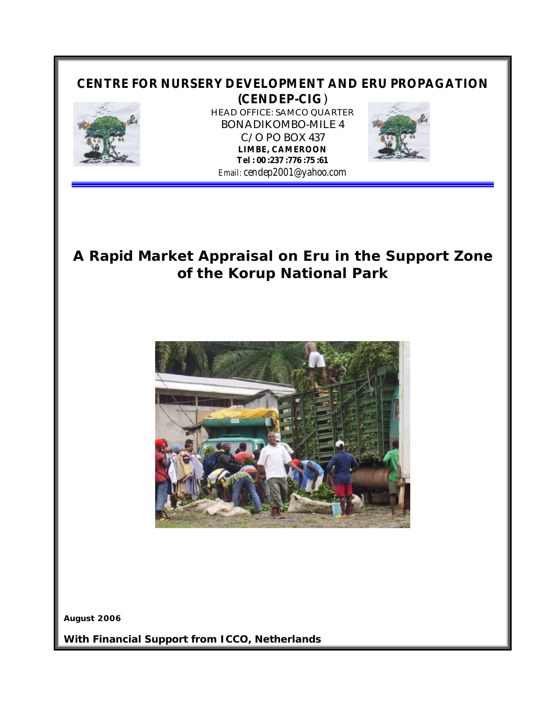# **CENTRE FOR NURSERY DEVELOPMENT AND ERU PROPAGATION (CENDEP-CIG**)



HEAD OFFICE: SAMCO QUARTER BONADIKOMBO-MILE 4 C/O PO BOX 437 **LIMBE, CAMEROON Tel : 00 :237 :776 :75 :61** *Email: cendep2001@yahoo.com*



# **A Rapid Market Appraisal on Eru in the Support Zone of the Korup National Park**



**August 2006**

**With Financial Support from ICCO, Netherlands**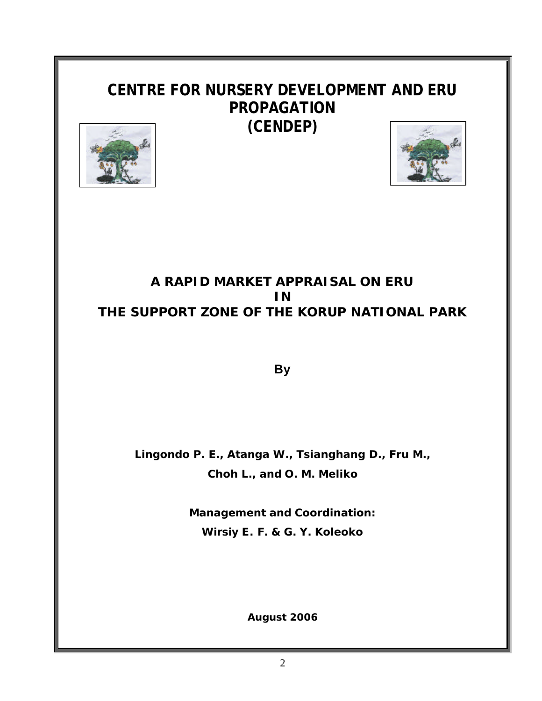# **CENTRE FOR NURSERY DEVELOPMENT AND ERU PROPAGATION (CENDEP)**





# **A RAPID MARKET APPRAISAL ON ERU IN THE SUPPORT ZONE OF THE KORUP NATIONAL PARK**

**By**

**Lingondo P. E., Atanga W., Tsianghang D., Fru M., Choh L., and O. M. Meliko**

> **Management and Coordination: Wirsiy E. F. & G. Y. Koleoko**

> > **August 2006**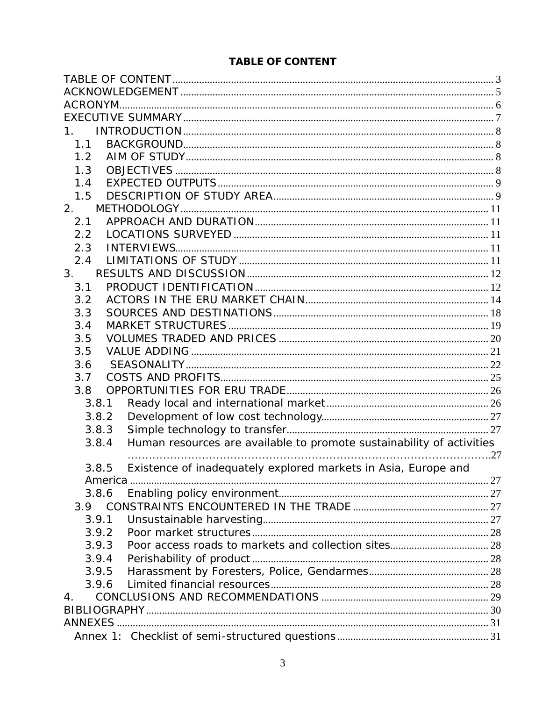## **TABLE OF CONTENT**

| 1.                                                                             |  |
|--------------------------------------------------------------------------------|--|
| 1.1                                                                            |  |
| 1.2                                                                            |  |
| 1.3                                                                            |  |
| 1.4                                                                            |  |
| 1.5                                                                            |  |
| 2.                                                                             |  |
| 2.1                                                                            |  |
| 2.2                                                                            |  |
| 2.3                                                                            |  |
| 2.4                                                                            |  |
| 3.                                                                             |  |
| 3.1                                                                            |  |
| 3.2                                                                            |  |
| 3.3                                                                            |  |
| 3.4                                                                            |  |
| 3.5                                                                            |  |
| 3.5                                                                            |  |
|                                                                                |  |
| 3.6                                                                            |  |
| 3.7                                                                            |  |
| 3.8                                                                            |  |
| 3.8.1                                                                          |  |
| 3.8.2                                                                          |  |
| 3.8.3                                                                          |  |
| Human resources are available to promote sustainability of activities<br>3.8.4 |  |
|                                                                                |  |
| Existence of inadequately explored markets in Asia, Europe and<br>3.8.5        |  |
|                                                                                |  |
| 3.8.6                                                                          |  |
| 3.9                                                                            |  |
| 3.9.1                                                                          |  |
| 3.9.2                                                                          |  |
| 3.9.3                                                                          |  |
| 3.9.4                                                                          |  |
| 3.9.5                                                                          |  |
| 3.9.6                                                                          |  |
| 4.                                                                             |  |
|                                                                                |  |
|                                                                                |  |
|                                                                                |  |
|                                                                                |  |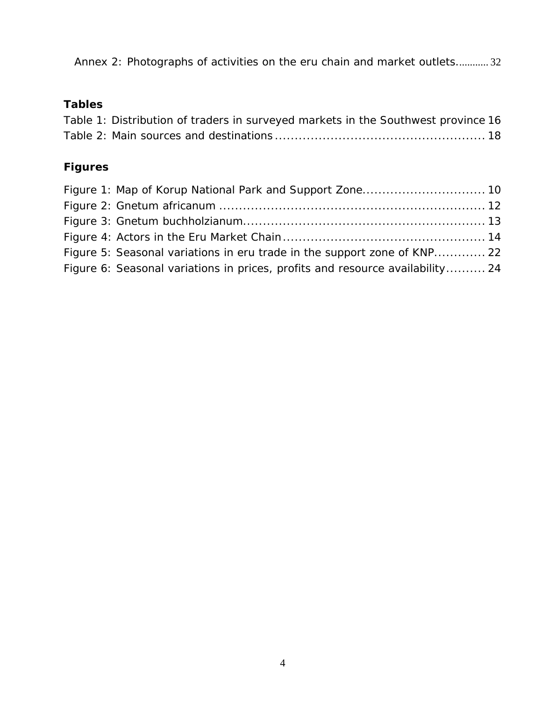Annex 2: Photographs of activities on the eru chain and market outlets............ 32

# **Tables**

| Table 1: Distribution of traders in surveyed markets in the Southwest province 16 |  |  |
|-----------------------------------------------------------------------------------|--|--|
|                                                                                   |  |  |

# **Figures**

| Figure 5: Seasonal variations in eru trade in the support zone of KNP 22      |  |
|-------------------------------------------------------------------------------|--|
| Figure 6: Seasonal variations in prices, profits and resource availability 24 |  |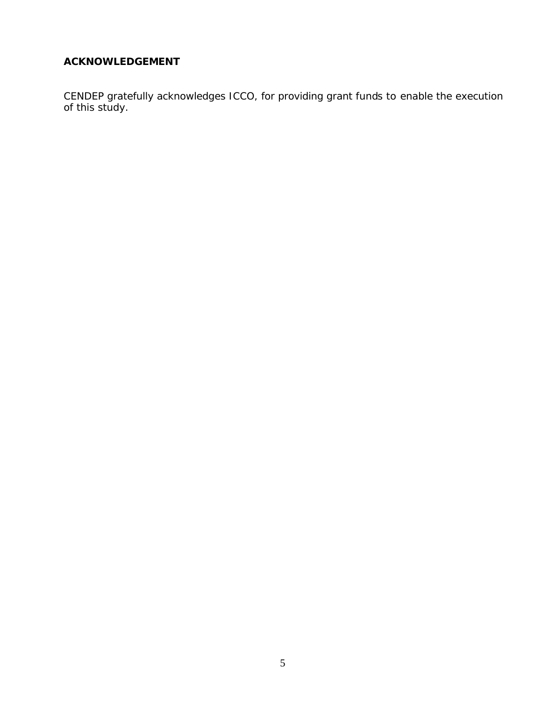## **ACKNOWLEDGEMENT**

CENDEP gratefully acknowledges ICCO, for providing grant funds to enable the execution of this study.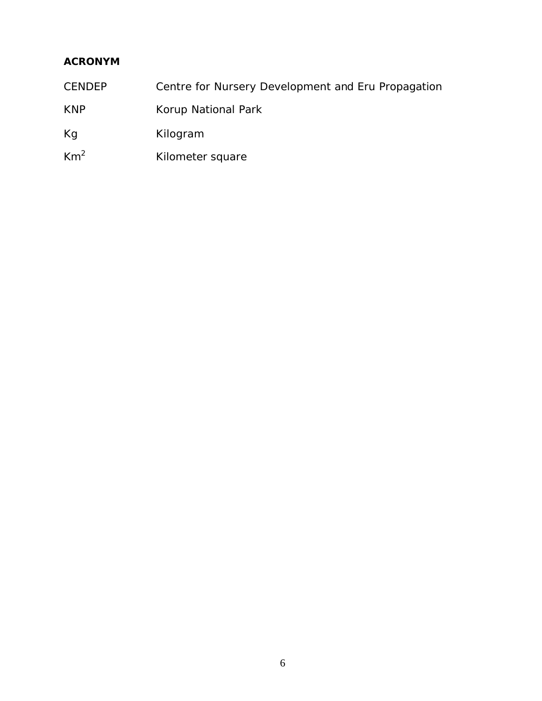# **ACRONYM**

- CENDEP Centre for Nursery Development and Eru Propagation
- KNP Korup National Park
- Kg Kilogram
- Km<sup>2</sup> Kilometer square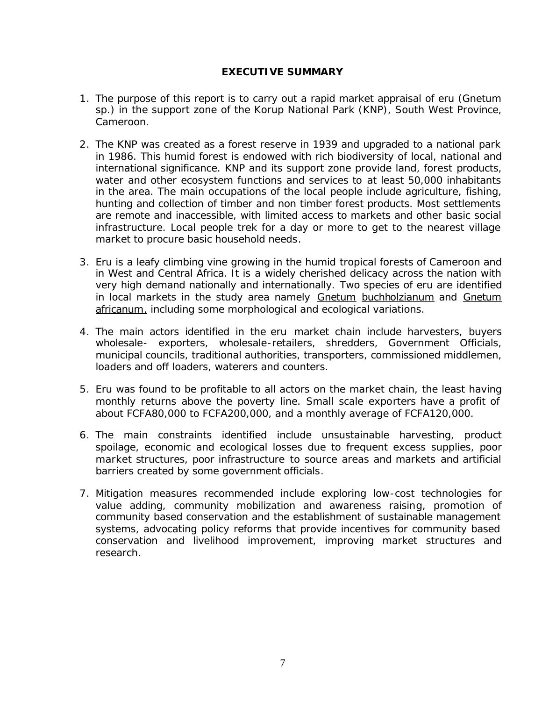#### **EXECUTIVE SUMMARY**

- 1. The purpose of this report is to carry out a rapid market appraisal of eru (Gnetum sp.) in the support zone of the Korup National Park (KNP), South West Province, Cameroon.
- 2. The KNP was created as a forest reserve in 1939 and upgraded to a national park in 1986. This humid forest is endowed with rich biodiversity of local, national and international significance. KNP and its support zone provide land, forest products, water and other ecosystem functions and services to at least 50,000 inhabitants in the area. The main occupations of the local people include agriculture, fishing, hunting and collection of timber and non timber forest products. Most settlements are remote and inaccessible, with limited access to markets and other basic social infrastructure. Local people trek for a day or more to get to the nearest village market to procure basic household needs.
- 3. Eru is a leafy climbing vine growing in the humid tropical forests of Cameroon and in West and Central Africa. It is a widely cherished delicacy across the nation with very high demand nationally and internationally. Two species of eru are identified in local markets in the study area namely Gnetum buchholzianum and Gnetum africanum, including some morphological and ecological variations.
- 4. The main actors identified in the eru market chain include harvesters, buyers wholesale- exporters, wholesale-retailers, shredders, Government Officials, municipal councils, traditional authorities, transporters, commissioned middlemen, loaders and off loaders, waterers and counters.
- 5. Eru was found to be profitable to all actors on the market chain, the least having monthly returns above the poverty line. Small scale exporters have a profit of about FCFA80,000 to FCFA200,000, and a monthly average of FCFA120,000.
- 6. The main constraints identified include unsustainable harvesting, product spoilage, economic and ecological losses due to frequent excess supplies, poor market structures, poor infrastructure to source areas and markets and artificial barriers created by some government officials.
- 7. Mitigation measures recommended include exploring low-cost technologies for value adding, community mobilization and awareness raising, promotion of community based conservation and the establishment of sustainable management systems, advocating policy reforms that provide incentives for community based conservation and livelihood improvement, improving market structures and research.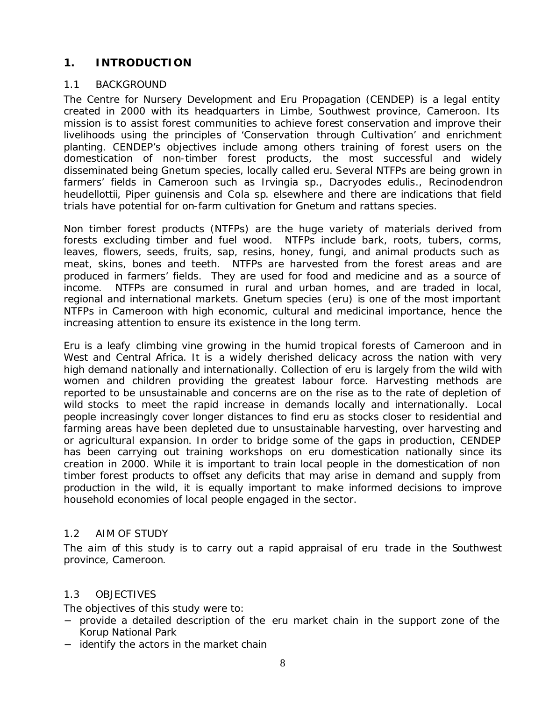## **1. INTRODUCTION**

## 1.1 BACKGROUND

The Centre for Nursery Development and Eru Propagation (CENDEP) is a legal entity created in 2000 with its headquarters in Limbe, Southwest province, Cameroon. Its mission is to assist forest communities to achieve forest conservation and improve their livelihoods using the principles of 'Conservation through Cultivation' and enrichment planting. CENDEP's objectives include among others training of forest users on the domestication of non-timber forest products, the most successful and widely disseminated being Gnetum species, locally called eru. Several NTFPs are being grown in farmers' fields in Cameroon such as Irvingia sp., Dacryodes edulis., Recinodendron heudellottii, Piper guinensis and Cola sp. elsewhere and there are indications that field trials have potential for on-farm cultivation for Gnetum and rattans species.

Non timber forest products (NTFPs) are the huge variety of materials derived from forests excluding timber and fuel wood. NTFPs include bark, roots, tubers, corms, leaves, flowers, seeds, fruits, sap, resins, honey, fungi, and animal products such as meat, skins, bones and teeth. NTFPs are harvested from the forest areas and are produced in farmers' fields. They are used for food and medicine and as a source of income. NTFPs are consumed in rural and urban homes, and are traded in local, regional and international markets. Gnetum species (eru) is one of the most important NTFPs in Cameroon with high economic, cultural and medicinal importance, hence the increasing attention to ensure its existence in the long term.

Eru is a leafy climbing vine growing in the humid tropical forests of Cameroon and in West and Central Africa. It is a widely cherished delicacy across the nation with very high demand nationally and internationally. Collection of eru is largely from the wild with women and children providing the greatest labour force. Harvesting methods are reported to be unsustainable and concerns are on the rise as to the rate of depletion of wild stocks to meet the rapid increase in demands locally and internationally. Local people increasingly cover longer distances to find eru as stocks closer to residential and farming areas have been depleted due to unsustainable harvesting, over harvesting and or agricultural expansion. In order to bridge some of the gaps in production, CENDEP has been carrying out training workshops on eru domestication nationally since its creation in 2000. While it is important to train local people in the domestication of non timber forest products to offset any deficits that may arise in demand and supply from production in the wild, it is equally important to make informed decisions to improve household economies of local people engaged in the sector.

## 1.2 AIM OF STUDY

The aim of this study is to carry out a rapid appraisal of eru trade in the Southwest province, Cameroon.

## 1.3 OBJECTIVES

The objectives of this study were to:

- − provide a detailed description of the eru market chain in the support zone of the Korup National Park
- − identify the actors in the market chain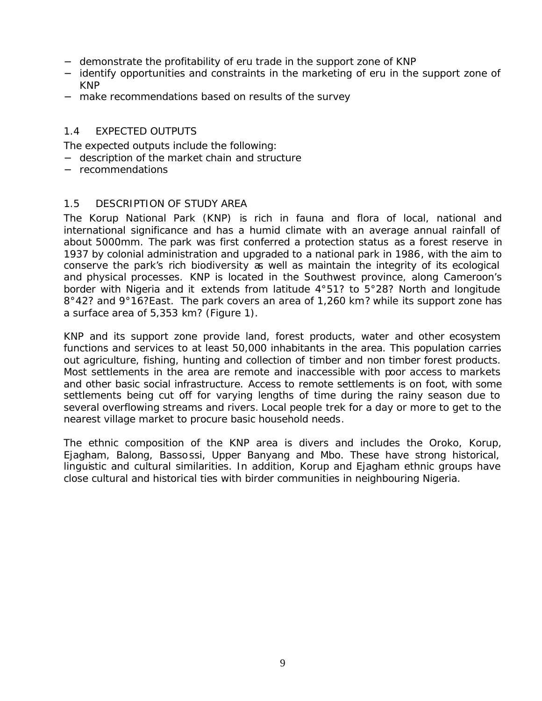- − demonstrate the profitability of eru trade in the support zone of KNP
- − identify opportunities and constraints in the marketing of eru in the support zone of KNP
- − make recommendations based on results of the survey

### 1.4 EXPECTED OUTPUTS

The expected outputs include the following:

- − description of the market chain and structure
- − recommendations

#### 1.5 DESCRIPTION OF STUDY AREA

The Korup National Park (KNP) is rich in fauna and flora of local, national and international significance and has a humid climate with an average annual rainfall of about 5000mm. The park was first conferred a protection status as a forest reserve in 1937 by colonial administration and upgraded to a national park in 1986, with the aim to conserve the park's rich biodiversity as well as maintain the integrity of its ecological and physical processes. KNP is located in the Southwest province, along Cameroon's border with Nigeria and it extends from latitude 4°51? to 5°28? North and longitude 8°42? and 9°16?East. The park covers an area of 1,260 km? while its support zone has a surface area of 5,353 km? (Figure 1).

KNP and its support zone provide land, forest products, water and other ecosystem functions and services to at least 50,000 inhabitants in the area. This population carries out agriculture, fishing, hunting and collection of timber and non timber forest products. Most settlements in the area are remote and inaccessible with poor access to markets and other basic social infrastructure. Access to remote settlements is on foot, with some settlements being cut off for varying lengths of time during the rainy season due to several overflowing streams and rivers. Local people trek for a day or more to get to the nearest village market to procure basic household needs.

The ethnic composition of the KNP area is divers and includes the Oroko, Korup, Ejagham, Balong, Bassossi, Upper Banyang and Mbo. These have strong historical, linguistic and cultural similarities. In addition, Korup and Ejagham ethnic groups have close cultural and historical ties with birder communities in neighbouring Nigeria.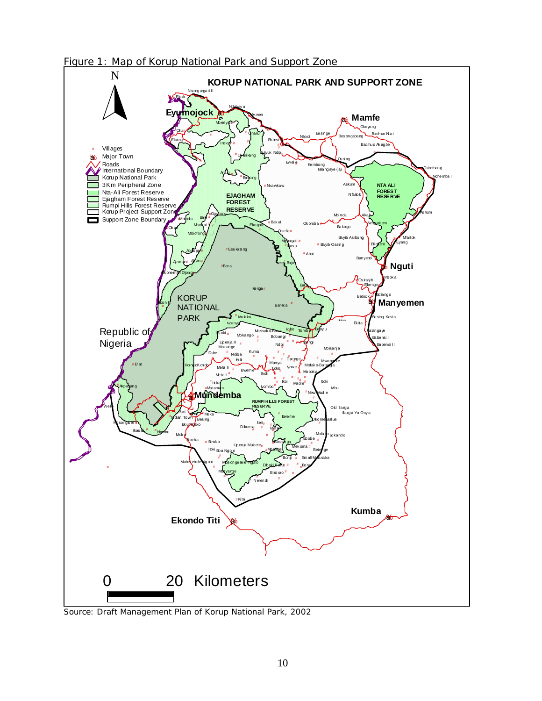Figure 1: Map of Korup National Park and Support Zone



*Source: Draft Management Plan of Korup National Park, 2002*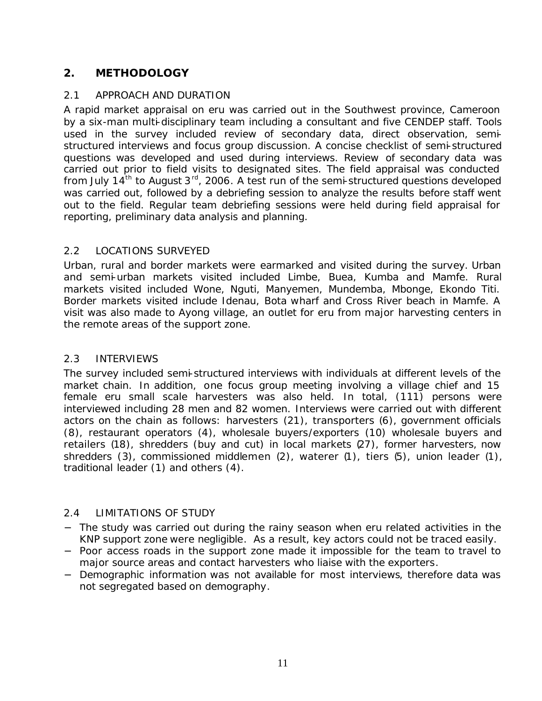## **2. METHODOLOGY**

## 2.1 APPROACH AND DURATION

A rapid market appraisal on eru was carried out in the Southwest province, Cameroon by a six-man multi-disciplinary team including a consultant and five CENDEP staff. Tools used in the survey included review of secondary data, direct observation, semistructured interviews and focus group discussion. A concise checklist of semi-structured questions was developed and used during interviews. Review of secondary data was carried out prior to field visits to designated sites. The field appraisal was conducted from July 14<sup>th</sup> to August 3<sup>rd</sup>, 2006. A test run of the semi-structured questions developed was carried out, followed by a debriefing session to analyze the results before staff went out to the field. Regular team debriefing sessions were held during field appraisal for reporting, preliminary data analysis and planning.

## 2.2 LOCATIONS SURVEYED

Urban, rural and border markets were earmarked and visited during the survey. Urban and semi-urban markets visited included Limbe, Buea, Kumba and Mamfe. Rural markets visited included Wone, Nguti, Manyemen, Mundemba, Mbonge, Ekondo Titi. Border markets visited include Idenau, Bota wharf and Cross River beach in Mamfe. A visit was also made to Ayong village, an outlet for eru from major harvesting centers in the remote areas of the support zone.

## 2.3 INTERVIEWS

The survey included semi-structured interviews with individuals at different levels of the market chain. In addition, one focus group meeting involving a village chief and 15 female eru small scale harvesters was also held. In total, (111) persons were interviewed including 28 men and 82 women. Interviews were carried out with different actors on the chain as follows: harvesters (21), transporters (6), government officials (8), restaurant operators (4), wholesale buyers/exporters (10) wholesale buyers and retailers (18), shredders (buy and cut) in local markets (27), former harvesters, now shredders (3), commissioned middlemen (2), waterer (1), tiers (5), union leader (1), traditional leader (1) and others (4).

## 2.4 LIMITATIONS OF STUDY

- − The study was carried out during the rainy season when eru related activities in the KNP support zone were negligible. As a result, key actors could not be traced easily.
- − Poor access roads in the support zone made it impossible for the team to travel to major source areas and contact harvesters who liaise with the exporters.
- − Demographic information was not available for most interviews, therefore data was not segregated based on demography.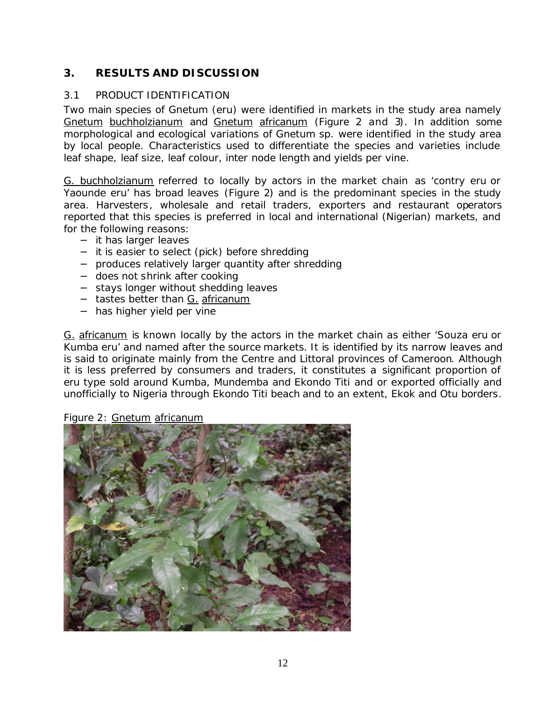## **3. RESULTS AND DISCUSSION**

## 3.1 PRODUCT IDENTIFICATION

Two main species of Gnetum (eru) were identified in markets in the study area namely Gnetum buchholzianum and Gnetum africanum (Figure 2 and 3). In addition some morphological and ecological variations of Gnetum sp. were identified in the study area by local people. Characteristics used to differentiate the species and varieties include leaf shape, leaf size, leaf colour, inter node length and yields per vine.

G. buchholzianum referred to locally by actors in the market chain as 'contry eru or Yaounde eru' has broad leaves (Figure 2) and is the predominant species in the study area. Harvesters, wholesale and retail traders, exporters and restaurant operators reported that this species is preferred in local and international (Nigerian) markets, and for the following reasons:

- − it has larger leaves
- − it is easier to select (pick) before shredding
- − produces relatively larger quantity after shredding
- − does not shrink after cooking
- − stays longer without shedding leaves
- − tastes better than G. africanum
- − has higher yield per vine

G. africanum is known locally by the actors in the market chain as either 'Souza eru or Kumba eru' and named after the source markets. It is identified by its narrow leaves and is said to originate mainly from the Centre and Littoral provinces of Cameroon. Although it is less preferred by consumers and traders, it constitutes a significant proportion of eru type sold around Kumba, Mundemba and Ekondo Titi and or exported officially and unofficially to Nigeria through Ekondo Titi beach and to an extent, Ekok and Otu borders.

#### Figure 2: Gnetum africanum

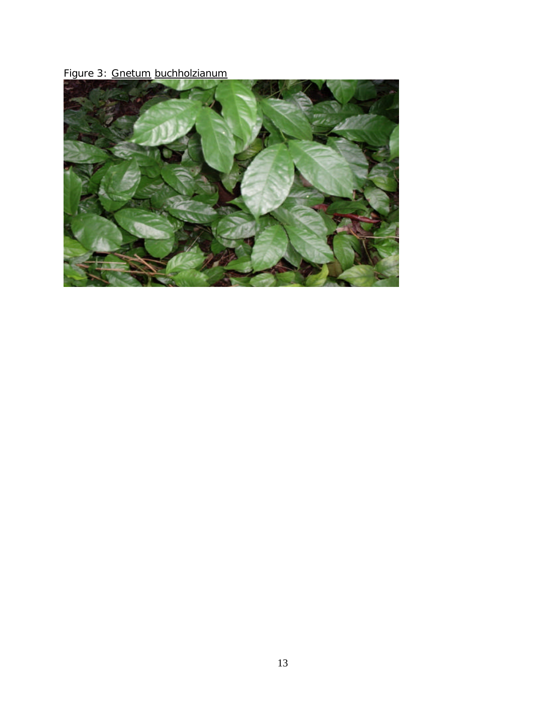Figure 3: Gnetum buchholzianum

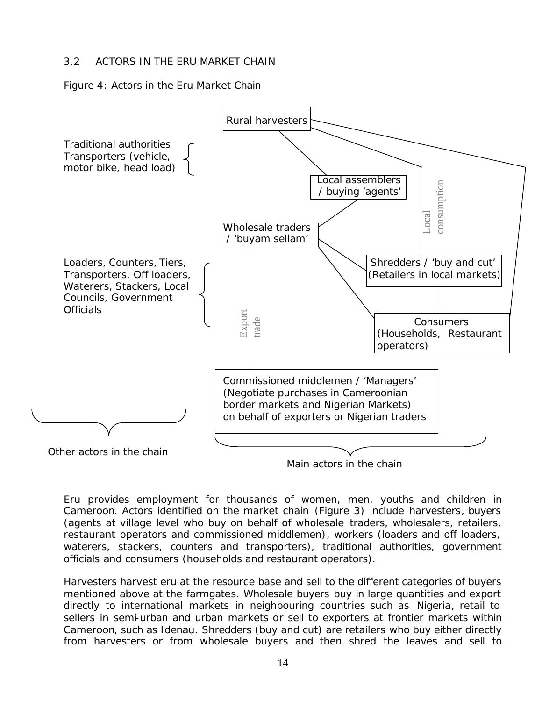## 3.2 ACTORS IN THE ERU MARKET CHAIN

Figure 4: Actors in the Eru Market Chain



Main actors in the chain

Eru provides employment for thousands of women, men, youths and children in Cameroon. Actors identified on the market chain (Figure 3) include harvesters, buyers (agents at village level who buy on behalf of wholesale traders, wholesalers, retailers, restaurant operators and commissioned middlemen), workers (loaders and off loaders, waterers, stackers, counters and transporters), traditional authorities, government officials and consumers (households and restaurant operators).

Harvesters harvest eru at the resource base and sell to the different categories of buyers mentioned above at the farmgates. Wholesale buyers buy in large quantities and export directly to international markets in neighbouring countries such as Nigeria, retail to sellers in semi-urban and urban markets or sell to exporters at frontier markets within Cameroon, such as Idenau. Shredders (buy and cut) are retailers who buy either directly from harvesters or from wholesale buyers and then shred the leaves and sell to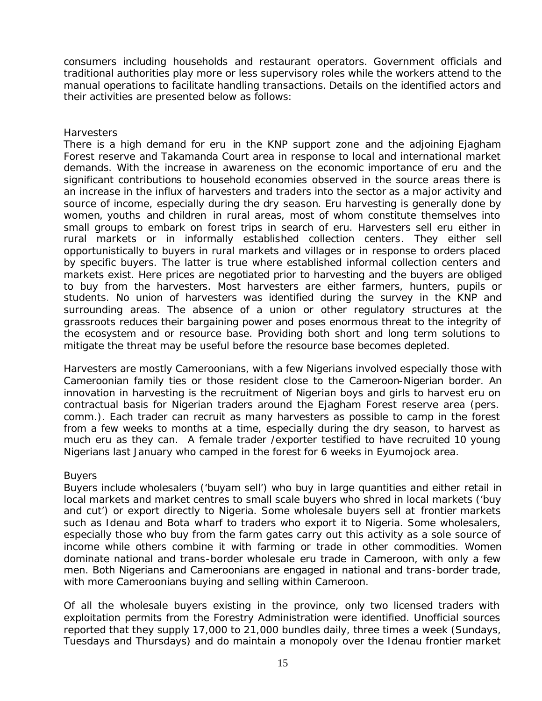consumers including households and restaurant operators. Government officials and traditional authorities play more or less supervisory roles while the workers attend to the manual operations to facilitate handling transactions. Details on the identified actors and their activities are presented below as follows:

#### *Harvesters*

There is a high demand for eru in the KNP support zone and the adjoining Ejagham Forest reserve and Takamanda Court area in response to local and international market demands. With the increase in awareness on the economic importance of eru and the significant contributions to household economies observed in the source areas there is an increase in the influx of harvesters and traders into the sector as a major activity and source of income, especially during the dry season. Eru harvesting is generally done by women, youths and children in rural areas, most of whom constitute themselves into small groups to embark on forest trips in search of eru. Harvesters sell eru either in rural markets or in informally established collection centers. They either sell opportunistically to buyers in rural markets and villages or in response to orders placed by specific buyers. The latter is true where established informal collection centers and markets exist. Here prices are negotiated prior to harvesting and the buyers are obliged to buy from the harvesters. Most harvesters are either farmers, hunters, pupils or students. No union of harvesters was identified during the survey in the KNP and surrounding areas. The absence of a union or other regulatory structures at the grassroots reduces their bargaining power and poses enormous threat to the integrity of the ecosystem and or resource base. Providing both short and long term solutions to mitigate the threat may be useful before the resource base becomes depleted.

Harvesters are mostly Cameroonians, with a few Nigerians involved especially those with Cameroonian family ties or those resident close to the Cameroon-Nigerian border. An innovation in harvesting is the recruitment of Nigerian boys and girls to harvest eru on contractual basis for Nigerian traders around the Ejagham Forest reserve area (pers. comm.). Each trader can recruit as many harvesters as possible to camp in the forest from a few weeks to months at a time, especially during the dry season, to harvest as much eru as they can. A female trader /exporter testified to have recruited 10 young Nigerians last January who camped in the forest for 6 weeks in Eyumojock area.

#### *Buyers*

Buyers include wholesalers ('buyam sell') who buy in large quantities and either retail in local markets and market centres to small scale buyers who shred in local markets ('buy and cut') or export directly to Nigeria. Some wholesale buyers sell at frontier markets such as Idenau and Bota wharf to traders who export it to Nigeria. Some wholesalers, especially those who buy from the farm gates carry out this activity as a sole source of income while others combine it with farming or trade in other commodities. Women dominate national and trans-border wholesale eru trade in Cameroon, with only a few men. Both Nigerians and Cameroonians are engaged in national and trans-border trade, with more Cameroonians buying and selling within Cameroon.

Of all the wholesale buyers existing in the province, only two licensed traders with exploitation permits from the Forestry Administration were identified. Unofficial sources reported that they supply 17,000 to 21,000 bundles daily, three times a week (Sundays, Tuesdays and Thursdays) and do maintain a monopoly over the Idenau frontier market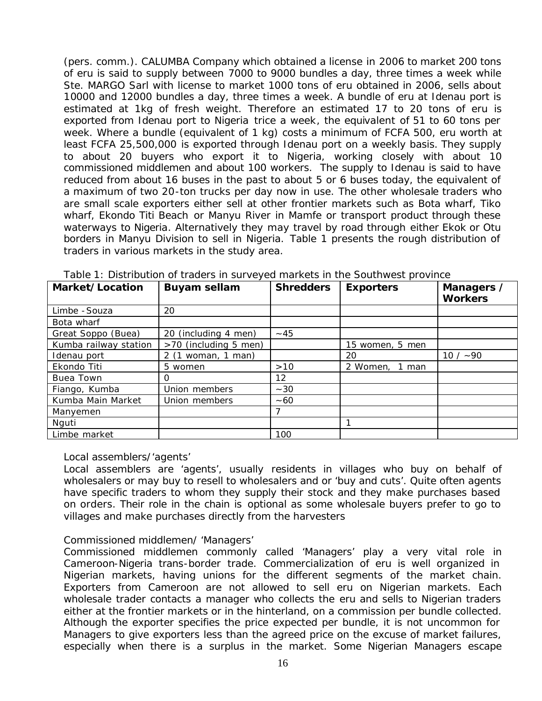(pers. comm.). CALUMBA Company which obtained a license in 2006 to market 200 tons of eru is said to supply between 7000 to 9000 bundles a day, three times a week while Ste. MARGO Sarl with license to market 1000 tons of eru obtained in 2006, sells about 10000 and 12000 bundles a day, three times a week. A bundle of eru at Idenau port is estimated at 1kg of fresh weight. Therefore an estimated 17 to 20 tons of eru is exported from Idenau port to Nigeria trice a week, the equivalent of 51 to 60 tons per week. Where a bundle (equivalent of 1 kg) costs a minimum of FCFA 500, eru worth at least FCFA 25,500,000 is exported through Idenau port on a weekly basis. They supply to about 20 buyers who export it to Nigeria, working closely with about 10 commissioned middlemen and about 100 workers. The supply to Idenau is said to have reduced from about 16 buses in the past to about 5 or 6 buses today, the equivalent of a maximum of two 20-ton trucks per day now in use. The other wholesale traders who are small scale exporters either sell at other frontier markets such as Bota wharf, Tiko wharf, Ekondo Titi Beach or Manyu River in Mamfe or transport product through these waterways to Nigeria. Alternatively they may travel by road through either Ekok or Otu borders in Manyu Division to sell in Nigeria. Table 1 presents the rough distribution of traders in various markets in the study area.

| Market/Location       | <b>Buyam sellam</b>   | <b>Shredders</b> | <b>Exporters</b> | Managers /<br><b>Workers</b> |
|-----------------------|-----------------------|------------------|------------------|------------------------------|
| Limbe - Souza         | 20                    |                  |                  |                              |
| Bota wharf            |                       |                  |                  |                              |
| Great Soppo (Buea)    | 20 (including 4 men)  | $~1$ 45          |                  |                              |
| Kumba railway station | >70 (including 5 men) |                  | 15 women, 5 men  |                              |
| Idenau port           | 2 (1 woman, 1 man)    |                  | 20               | $10 / -90$                   |
| Ekondo Titi           | 5 women               | >10              | 2 Women, 1 man   |                              |
| Buea Town             | Ο                     | 12               |                  |                              |
| Fiango, Kumba         | Union members         | $~1 - 30$        |                  |                              |
| Kumba Main Market     | Union members         | $~1 - 60$        |                  |                              |
| Manyemen              |                       |                  |                  |                              |
| Nguti                 |                       |                  | 1                |                              |
| Limbe market          |                       | 100              |                  |                              |

*Table 1: Distribution of traders in surveyed markets in the Southwest province*

#### *Local assemblers/'agents'*

Local assemblers are 'agents', usually residents in villages who buy on behalf of wholesalers or may buy to resell to wholesalers and or 'buy and cuts'. Quite often agents have specific traders to whom they supply their stock and they make purchases based on orders. Their role in the chain is optional as some wholesale buyers prefer to go to villages and make purchases directly from the harvesters

#### *Commissioned middlemen/ 'Managers'*

Commissioned middlemen commonly called 'Managers' play a very vital role in Cameroon-Nigeria trans-border trade. Commercialization of eru is well organized in Nigerian markets, having unions for the different segments of the market chain. Exporters from Cameroon are not allowed to sell eru on Nigerian markets. Each wholesale trader contacts a manager who collects the eru and sells to Nigerian traders either at the frontier markets or in the hinterland, on a commission per bundle collected. Although the exporter specifies the price expected per bundle, it is not uncommon for Managers to give exporters less than the agreed price on the excuse of market failures, especially when there is a surplus in the market. Some Nigerian Managers escape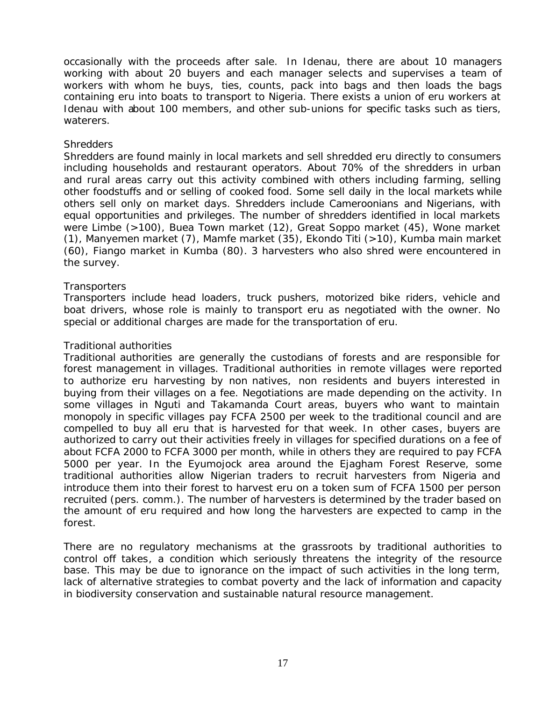occasionally with the proceeds after sale. In Idenau, there are about 10 managers working with about 20 buyers and each manager selects and supervises a team of workers with whom he buys, ties, counts, pack into bags and then loads the bags containing eru into boats to transport to Nigeria. There exists a union of eru workers at Idenau with about 100 members, and other sub-unions for specific tasks such as tiers, waterers.

#### *Shredders*

Shredders are found mainly in local markets and sell shredded eru directly to consumers including households and restaurant operators. About 70% of the shredders in urban and rural areas carry out this activity combined with others including farming, selling other foodstuffs and or selling of cooked food. Some sell daily in the local markets while others sell only on market days. Shredders include Cameroonians and Nigerians, with equal opportunities and privileges. The number of shredders identified in local markets were Limbe (>100), Buea Town market (12), Great Soppo market (45), Wone market (1), Manyemen market (7), Mamfe market (35), Ekondo Titi (>10), Kumba main market (60), Fiango market in Kumba (80). 3 harvesters who also shred were encountered in the survey.

#### *Transporters*

Transporters include head loaders, truck pushers, motorized bike riders, vehicle and boat drivers, whose role is mainly to transport eru as negotiated with the owner. No special or additional charges are made for the transportation of eru.

#### *Traditional authorities*

Traditional authorities are generally the custodians of forests and are responsible for forest management in villages. Traditional authorities in remote villages were reported to authorize eru harvesting by non natives, non residents and buyers interested in buying from their villages on a fee. Negotiations are made depending on the activity. In some villages in Nguti and Takamanda Court areas, buyers who want to maintain monopoly in specific villages pay FCFA 2500 per week to the traditional council and are compelled to buy all eru that is harvested for that week. In other cases, buyers are authorized to carry out their activities freely in villages for specified durations on a fee of about FCFA 2000 to FCFA 3000 per month, while in others they are required to pay FCFA 5000 per year. In the Eyumojock area around the Ejagham Forest Reserve, some traditional authorities allow Nigerian traders to recruit harvesters from Nigeria and introduce them into their forest to harvest eru on a token sum of FCFA 1500 per person recruited (pers. comm.). The number of harvesters is determined by the trader based on the amount of eru required and how long the harvesters are expected to camp in the forest.

There are no regulatory mechanisms at the grassroots by traditional authorities to control off takes, a condition which seriously threatens the integrity of the resource base. This may be due to ignorance on the impact of such activities in the long term, lack of alternative strategies to combat poverty and the lack of information and capacity in biodiversity conservation and sustainable natural resource management.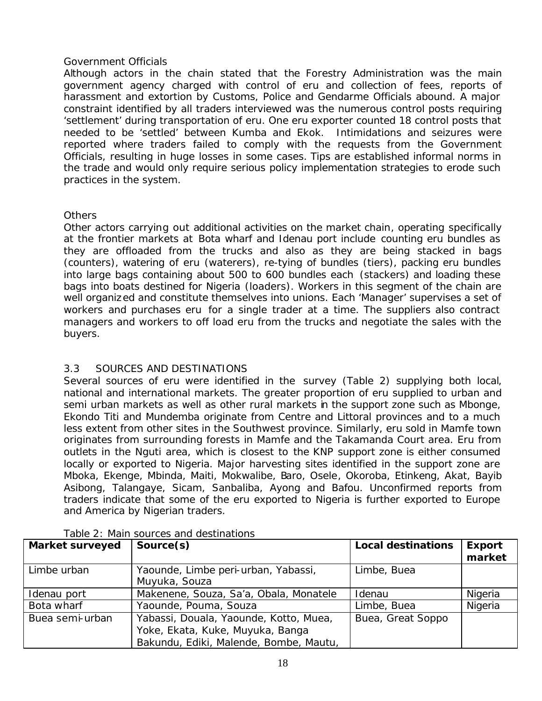#### *Government Officials*

Although actors in the chain stated that the Forestry Administration was the main government agency charged with control of eru and collection of fees, reports of harassment and extortion by Customs, Police and Gendarme Officials abound. A major constraint identified by all traders interviewed was the numerous control posts requiring 'settlement' during transportation of eru. One eru exporter counted 18 control posts that needed to be 'settled' between Kumba and Ekok. Intimidations and seizures were reported where traders failed to comply with the requests from the Government Officials, resulting in huge losses in some cases. Tips are established informal norms in the trade and would only require serious policy implementation strategies to erode such practices in the system.

#### *Others*

Other actors carrying out additional activities on the market chain, operating specifically at the frontier markets at Bota wharf and Idenau port include counting eru bundles as they are offloaded from the trucks and also as they are being stacked in bags (counters), watering of eru (waterers), re-tying of bundles (tiers), packing eru bundles into large bags containing about 500 to 600 bundles each (stackers) and loading these bags into boats destined for Nigeria (loaders). Workers in this segment of the chain are well organized and constitute themselves into unions. Each 'Manager' supervises a set of workers and purchases eru for a single trader at a time. The suppliers also contract managers and workers to off load eru from the trucks and negotiate the sales with the buyers.

## 3.3 SOURCES AND DESTINATIONS

Several sources of eru were identified in the survey (Table 2) supplying both local, national and international markets. The greater proportion of eru supplied to urban and semi urban markets as well as other rural markets in the support zone such as Mbonge, Ekondo Titi and Mundemba originate from Centre and Littoral provinces and to a much less extent from other sites in the Southwest province. Similarly, eru sold in Mamfe town originates from surrounding forests in Mamfe and the Takamanda Court area. Eru from outlets in the Nguti area, which is closest to the KNP support zone is either consumed locally or exported to Nigeria. Major harvesting sites identified in the support zone are Mboka, Ekenge, Mbinda, Maiti, Mokwalibe, Baro, Osele, Okoroba, Etinkeng, Akat, Bayib Asibong, Talangaye, Sicam, Sanbaliba, Ayong and Bafou. Unconfirmed reports from traders indicate that some of the eru exported to Nigeria is further exported to Europe and America by Nigerian traders.

| <b>Market surveyed</b> | Source(s)                                                                                                            | <b>Local destinations</b> | <b>Export</b><br>market |
|------------------------|----------------------------------------------------------------------------------------------------------------------|---------------------------|-------------------------|
| Limbe urban            | Yaounde, Limbe peri-urban, Yabassi,<br>Muyuka, Souza                                                                 | Limbe, Buea               |                         |
| Idenau port            | Makenene, Souza, Sa'a, Obala, Monatele                                                                               | Idenau                    | Nigeria                 |
| Bota wharf             | Yaounde, Pouma, Souza                                                                                                | Limbe, Buea               | Nigeria                 |
| Buea semi-urban        | Yabassi, Douala, Yaounde, Kotto, Muea,<br>Yoke, Ekata, Kuke, Muyuka, Banga<br>Bakundu, Ediki, Malende, Bombe, Mautu, | Buea, Great Soppo         |                         |

#### Table 2: Main sources and destinations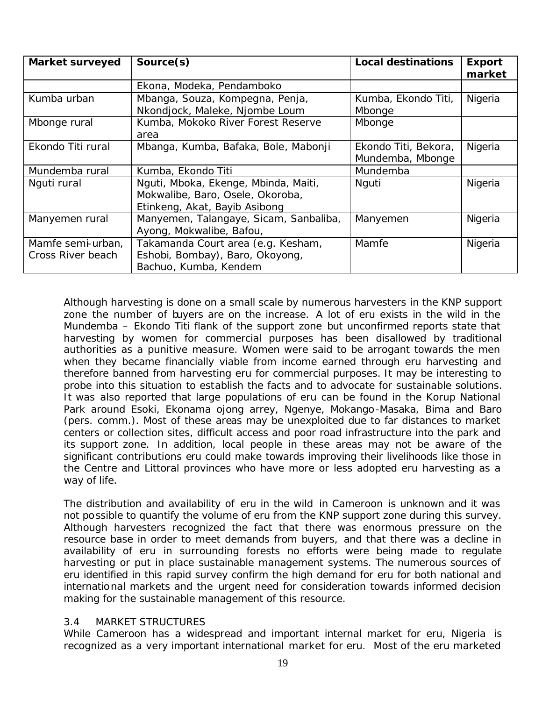| <b>Market surveyed</b> | Source(s)                              | <b>Local destinations</b> | <b>Export</b><br>market |
|------------------------|----------------------------------------|---------------------------|-------------------------|
|                        |                                        |                           |                         |
|                        | Ekona, Modeka, Pendamboko              |                           |                         |
| Kumba urban            | Mbanga, Souza, Kompegna, Penja,        | Kumba, Ekondo Titi,       | Nigeria                 |
|                        | Nkondjock, Maleke, Njombe Loum         | Mbonge                    |                         |
| Mbonge rural           | Kumba, Mokoko River Forest Reserve     | Mbonge                    |                         |
|                        | area                                   |                           |                         |
| Ekondo Titi rural      | Mbanga, Kumba, Bafaka, Bole, Mabonji   | Ekondo Titi, Bekora,      | Nigeria                 |
|                        |                                        | Mundemba, Mbonge          |                         |
| Mundemba rural         | Kumba, Ekondo Titi                     | Mundemba                  |                         |
| Nguti rural            | Nguti, Mboka, Ekenge, Mbinda, Maiti,   | Nguti                     | Nigeria                 |
|                        | Mokwalibe, Baro, Osele, Okoroba,       |                           |                         |
|                        | Etinkeng, Akat, Bayib Asibong          |                           |                         |
| Manyemen rural         | Manyemen, Talangaye, Sicam, Sanbaliba, | Manyemen                  | Nigeria                 |
|                        | Ayong, Mokwalibe, Bafou,               |                           |                         |
| Mamfe semi-urban,      | Takamanda Court area (e.g. Kesham,     | Mamfe                     | Nigeria                 |
| Cross River beach      | Eshobi, Bombay), Baro, Okoyong,        |                           |                         |
|                        | Bachuo, Kumba, Kendem                  |                           |                         |

Although harvesting is done on a small scale by numerous harvesters in the KNP support zone the number of buyers are on the increase. A lot of eru exists in the wild in the Mundemba – Ekondo Titi flank of the support zone but unconfirmed reports state that harvesting by women for commercial purposes has been disallowed by traditional authorities as a punitive measure. Women were said to be arrogant towards the men when they became financially viable from income earned through eru harvesting and therefore banned from harvesting eru for commercial purposes. It may be interesting to probe into this situation to establish the facts and to advocate for sustainable solutions. It was also reported that large populations of eru can be found in the Korup National Park around Esoki, Ekonama ojong arrey, Ngenye, Mokango-Masaka, Bima and Baro (pers. comm.). Most of these areas may be unexploited due to far distances to market centers or collection sites, difficult access and poor road infrastructure into the park and its support zone. In addition, local people in these areas may not be aware of the significant contributions eru could make towards improving their livelihoods like those in the Centre and Littoral provinces who have more or less adopted eru harvesting as a way of life.

The distribution and availability of eru in the wild in Cameroon is unknown and it was not possible to quantify the volume of eru from the KNP support zone during this survey. Although harvesters recognized the fact that there was enormous pressure on the resource base in order to meet demands from buyers, and that there was a decline in availability of eru in surrounding forests no efforts were being made to regulate harvesting or put in place sustainable management systems. The numerous sources of eru identified in this rapid survey confirm the high demand for eru for both national and international markets and the urgent need for consideration towards informed decision making for the sustainable management of this resource.

#### 3.4 MARKET STRUCTURES

While Cameroon has a widespread and important internal market for eru, Nigeria is recognized as a very important international market for eru. Most of the eru marketed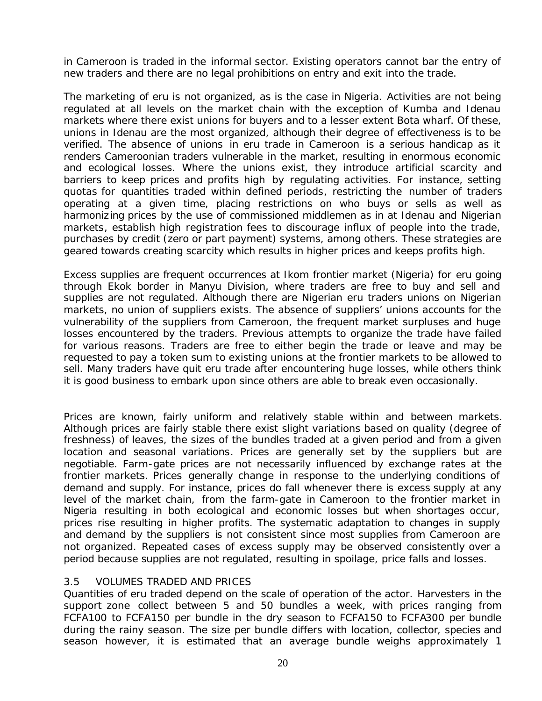in Cameroon is traded in the informal sector. Existing operators cannot bar the entry of new traders and there are no legal prohibitions on entry and exit into the trade.

The marketing of eru is not organized, as is the case in Nigeria. Activities are not being regulated at all levels on the market chain with the exception of Kumba and Idenau markets where there exist unions for buyers and to a lesser extent Bota wharf. Of these, unions in Idenau are the most organized, although their degree of effectiveness is to be verified. The absence of unions in eru trade in Cameroon is a serious handicap as it renders Cameroonian traders vulnerable in the market, resulting in enormous economic and ecological losses. Where the unions exist, they introduce artificial scarcity and barriers to keep prices and profits high by regulating activities. For instance, setting quotas for quantities traded within defined periods, restricting the number of traders operating at a given time, placing restrictions on who buys or sells as well as harmonizing prices by the use of commissioned middlemen as in at Idenau and Nigerian markets, establish high registration fees to discourage influx of people into the trade, purchases by credit (zero or part payment) systems, among others. These strategies are geared towards creating scarcity which results in higher prices and keeps profits high.

Excess supplies are frequent occurrences at Ikom frontier market (Nigeria) for eru going through Ekok border in Manyu Division, where traders are free to buy and sell and supplies are not regulated. Although there are Nigerian eru traders unions on Nigerian markets, no union of suppliers exists. The absence of suppliers' unions accounts for the vulnerability of the suppliers from Cameroon, the frequent market surpluses and huge losses encountered by the traders. Previous attempts to organize the trade have failed for various reasons. Traders are free to either begin the trade or leave and may be requested to pay a token sum to existing unions at the frontier markets to be allowed to sell. Many traders have quit eru trade after encountering huge losses, while others think it is good business to embark upon since others are able to break even occasionally.

Prices are known, fairly uniform and relatively stable within and between markets. Although prices are fairly stable there exist slight variations based on quality (degree of freshness) of leaves, the sizes of the bundles traded at a given period and from a given location and seasonal variations. Prices are generally set by the suppliers but are negotiable. Farm-gate prices are not necessarily influenced by exchange rates at the frontier markets. Prices generally change in response to the underlying conditions of demand and supply. For instance, prices do fall whenever there is excess supply at any level of the market chain, from the farm-gate in Cameroon to the frontier market in Nigeria resulting in both ecological and economic losses but when shortages occur, prices rise resulting in higher profits. The systematic adaptation to changes in supply and demand by the suppliers is not consistent since most supplies from Cameroon are not organized. Repeated cases of excess supply may be observed consistently over a period because supplies are not regulated, resulting in spoilage, price falls and losses.

#### 3.5 VOLUMES TRADED AND PRICES

Quantities of eru traded depend on the scale of operation of the actor. Harvesters in the support zone collect between 5 and 50 bundles a week, with prices ranging from FCFA100 to FCFA150 per bundle in the dry season to FCFA150 to FCFA300 per bundle during the rainy season. The size per bundle differs with location, collector, species and season however, it is estimated that an average bundle weighs approximately 1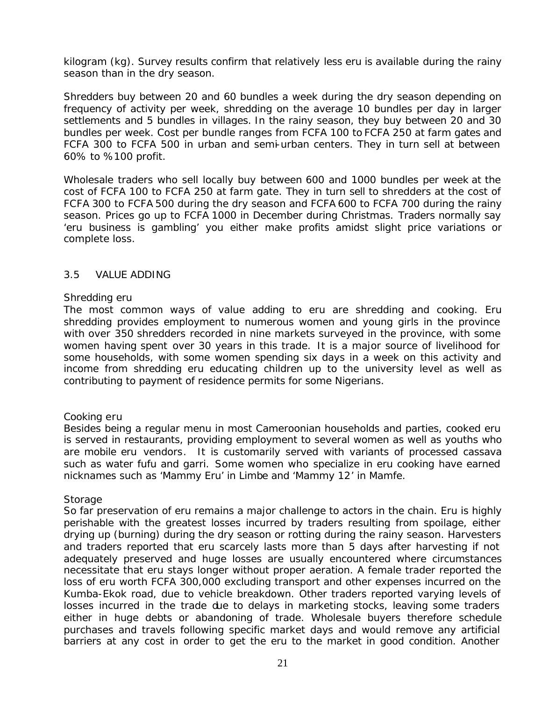kilogram (kg). Survey results confirm that relatively less eru is available during the rainy season than in the dry season.

Shredders buy between 20 and 60 bundles a week during the dry season depending on frequency of activity per week, shredding on the average 10 bundles per day in larger settlements and 5 bundles in villages. In the rainy season, they buy between 20 and 30 bundles per week. Cost per bundle ranges from FCFA 100 to FCFA 250 at farm gates and FCFA 300 to FCFA 500 in urban and semi-urban centers. They in turn sell at between 60% to %100 profit.

Wholesale traders who sell locally buy between 600 and 1000 bundles per week at the cost of FCFA 100 to FCFA 250 at farm gate. They in turn sell to shredders at the cost of FCFA 300 to FCFA 500 during the dry season and FCFA 600 to FCFA 700 during the rainy season. Prices go up to FCFA 1000 in December during Christmas. Traders normally say 'eru business is gambling' you either make profits amidst slight price variations or complete loss.

#### 3.5 VALUE ADDING

#### *Shredding eru*

The most common ways of value adding to eru are shredding and cooking. Eru shredding provides employment to numerous women and young girls in the province with over 350 shredders recorded in nine markets surveyed in the province, with some women having spent over 30 years in this trade. It is a major source of livelihood for some households, with some women spending six days in a week on this activity and income from shredding eru educating children up to the university level as well as contributing to payment of residence permits for some Nigerians.

#### *Cooking eru*

Besides being a regular menu in most Cameroonian households and parties, cooked eru is served in restaurants, providing employment to several women as well as youths who are mobile eru vendors. It is customarily served with variants of processed cassava such as water fufu and garri. Some women who specialize in eru cooking have earned nicknames such as 'Mammy Eru' in Limbe and 'Mammy 12' in Mamfe.

#### *Storage*

So far preservation of eru remains a major challenge to actors in the chain. Eru is highly perishable with the greatest losses incurred by traders resulting from spoilage, either drying up (burning) during the dry season or rotting during the rainy season. Harvesters and traders reported that eru scarcely lasts more than 5 days after harvesting if not adequately preserved and huge losses are usually encountered where circumstances necessitate that eru stays longer without proper aeration. A female trader reported the loss of eru worth FCFA 300,000 excluding transport and other expenses incurred on the Kumba-Ekok road, due to vehicle breakdown. Other traders reported varying levels of losses incurred in the trade due to delays in marketing stocks, leaving some traders either in huge debts or abandoning of trade. Wholesale buyers therefore schedule purchases and travels following specific market days and would remove any artificial barriers at any cost in order to get the eru to the market in good condition. Another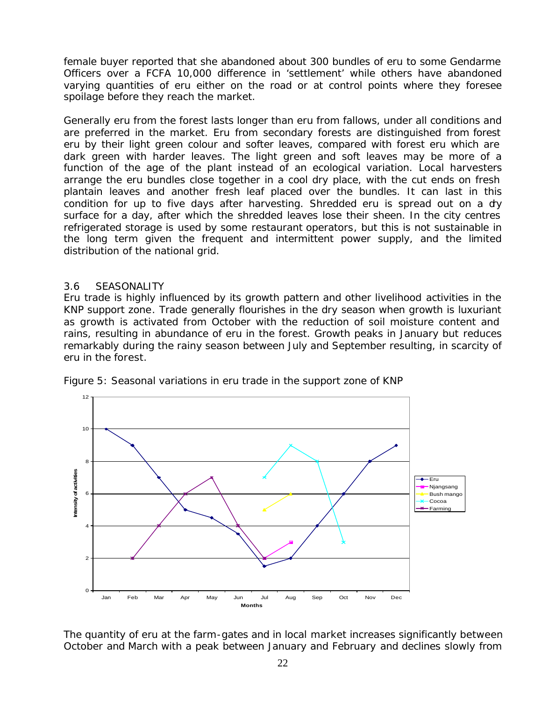female buyer reported that she abandoned about 300 bundles of eru to some Gendarme Officers over a FCFA 10,000 difference in 'settlement' while others have abandoned varying quantities of eru either on the road or at control points where they foresee spoilage before they reach the market.

Generally eru from the forest lasts longer than eru from fallows, under all conditions and are preferred in the market. Eru from secondary forests are distinguished from forest eru by their light green colour and softer leaves, compared with forest eru which are dark green with harder leaves. The light green and soft leaves may be more of a function of the age of the plant instead of an ecological variation. Local harvesters arrange the eru bundles close together in a cool dry place, with the cut ends on fresh plantain leaves and another fresh leaf placed over the bundles. It can last in this condition for up to five days after harvesting. Shredded eru is spread out on a dry surface for a day, after which the shredded leaves lose their sheen. In the city centres refrigerated storage is used by some restaurant operators, but this is not sustainable in the long term given the frequent and intermittent power supply, and the limited distribution of the national grid.

#### 3.6 SEASONALITY

Eru trade is highly influenced by its growth pattern and other livelihood activities in the KNP support zone. Trade generally flourishes in the dry season when growth is luxuriant as growth is activated from October with the reduction of soil moisture content and rains, resulting in abundance of eru in the forest. Growth peaks in January but reduces remarkably during the rainy season between July and September resulting, in scarcity of eru in the forest.



Figure 5: Seasonal variations in eru trade in the support zone of KNP

The quantity of eru at the farm-gates and in local market increases significantly between October and March with a peak between January and February and declines slowly from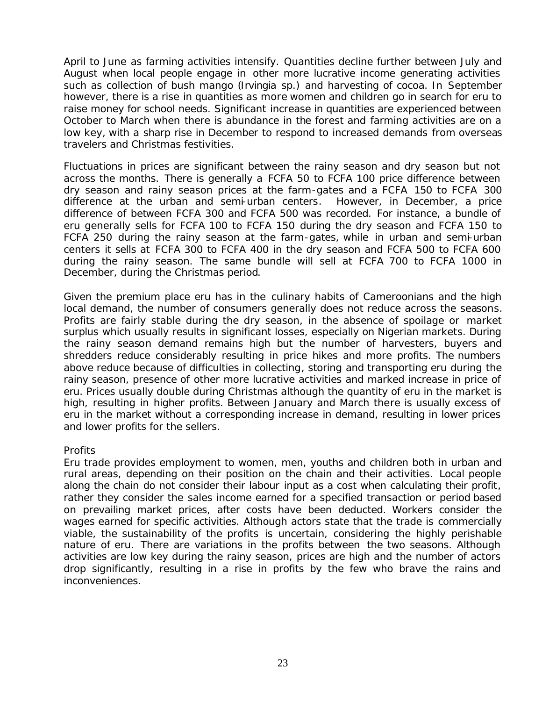April to June as farming activities intensify. Quantities decline further between July and August when local people engage in other more lucrative income generating activities such as collection of bush mango (Irvingia sp.) and harvesting of cocoa. In September however, there is a rise in quantities as more women and children go in search for eru to raise money for school needs. Significant increase in quantities are experienced between October to March when there is abundance in the forest and farming activities are on a low key, with a sharp rise in December to respond to increased demands from overseas travelers and Christmas festivities.

Fluctuations in prices are significant between the rainy season and dry season but not across the months. There is generally a FCFA 50 to FCFA 100 price difference between dry season and rainy season prices at the farm-gates and a FCFA 150 to FCFA 300 difference at the urban and semi-urban centers. However, in December, a price difference of between FCFA 300 and FCFA 500 was recorded. For instance, a bundle of eru generally sells for FCFA 100 to FCFA 150 during the dry season and FCFA 150 to FCFA 250 during the rainy season at the farm-gates, while in urban and semi-urban centers it sells at FCFA 300 to FCFA 400 in the dry season and FCFA 500 to FCFA 600 during the rainy season. The same bundle will sell at FCFA 700 to FCFA 1000 in December, during the Christmas period.

Given the premium place eru has in the culinary habits of Cameroonians and the high local demand, the number of consumers generally does not reduce across the seasons. Profits are fairly stable during the dry season, in the absence of spoilage or market surplus which usually results in significant losses, especially on Nigerian markets. During the rainy season demand remains high but the number of harvesters, buyers and shredders reduce considerably resulting in price hikes and more profits. The numbers above reduce because of difficulties in collecting, storing and transporting eru during the rainy season, presence of other more lucrative activities and marked increase in price of eru. Prices usually double during Christmas although the quantity of eru in the market is high, resulting in higher profits. Between January and March there is usually excess of eru in the market without a corresponding increase in demand, resulting in lower prices and lower profits for the sellers.

#### *Profits*

Eru trade provides employment to women, men, youths and children both in urban and rural areas, depending on their position on the chain and their activities. Local people along the chain do not consider their labour input as a cost when calculating their profit, rather they consider the sales income earned for a specified transaction or period based on prevailing market prices, after costs have been deducted. Workers consider the wages earned for specific activities. Although actors state that the trade is commercially viable, the sustainability of the profits is uncertain, considering the highly perishable nature of eru. There are variations in the profits between the two seasons. Although activities are low key during the rainy season, prices are high and the number of actors drop significantly, resulting in a rise in profits by the few who brave the rains and inconveniences.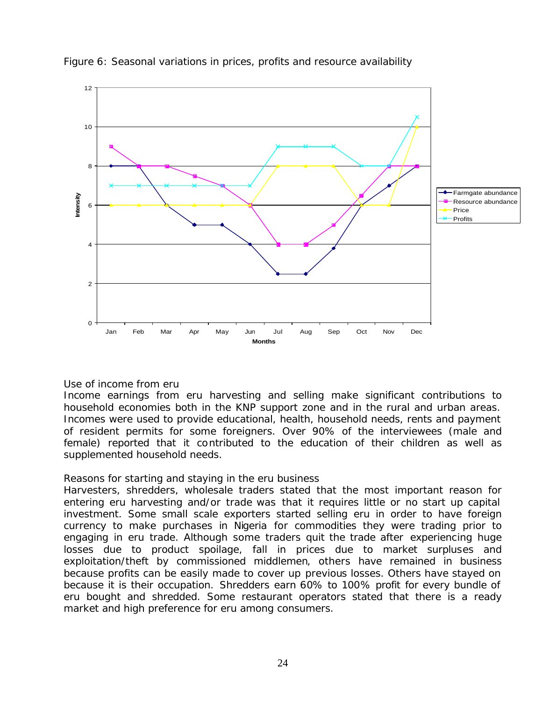

#### Figure 6: Seasonal variations in prices, profits and resource availability

#### *Use of income from eru*

Income earnings from eru harvesting and selling make significant contributions to household economies both in the KNP support zone and in the rural and urban areas. Incomes were used to provide educational, health, household needs, rents and payment of resident permits for some foreigners. Over 90% of the interviewees (male and female) reported that it contributed to the education of their children as well as supplemented household needs.

#### *Reasons for starting and staying in the eru business*

Harvesters, shredders, wholesale traders stated that the most important reason for entering eru harvesting and/or trade was that it requires little or no start up capital investment. Some small scale exporters started selling eru in order to have foreign currency to make purchases in Nigeria for commodities they were trading prior to engaging in eru trade. Although some traders quit the trade after experiencing huge losses due to product spoilage, fall in prices due to market surpluses and exploitation/theft by commissioned middlemen, others have remained in business because profits can be easily made to cover up previous losses. Others have stayed on because it is their occupation. Shredders earn 60% to 100% profit for every bundle of eru bought and shredded. Some restaurant operators stated that there is a ready market and high preference for eru among consumers.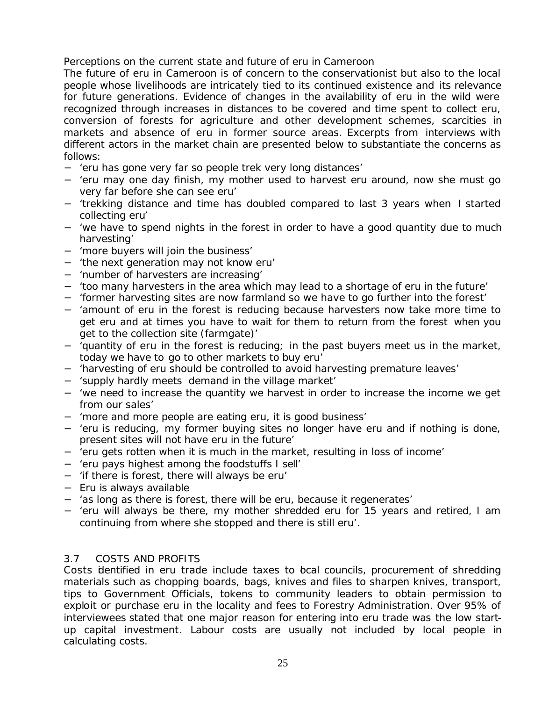## *Perceptions on the current state and future of eru in Cameroon*

The future of eru in Cameroon is of concern to the conservationist but also to the local people whose livelihoods are intricately tied to its continued existence and its relevance for future generations. Evidence of changes in the availability of eru in the wild were recognized through increases in distances to be covered and time spent to collect eru, conversion of forests for agriculture and other development schemes, scarcities in markets and absence of eru in former source areas. Excerpts from interviews with different actors in the market chain are presented below to substantiate the concerns as follows:

- − 'eru has gone very far so people trek very long distances'
- − 'eru may one day finish, my mother used to harvest eru around, now she must go very far before she can see eru'
- − 'trekking distance and time has doubled compared to last 3 years when I started collecting eru'
- − 'we have to spend nights in the forest in order to have a good quantity due to much harvesting'
- − 'more buyers will join the business'
- − 'the next generation may not know eru'
- − 'number of harvesters are increasing'
- − 'too many harvesters in the area which may lead to a shortage of eru in the future'
- − 'former harvesting sites are now farmland so we have to go further into the forest'
- − 'amount of eru in the forest is reducing because harvesters now take more time to get eru and at times you have to wait for them to return from the forest when you get to the collection site (farmgate)'
- 'quantity of eru in the forest is reducing; in the past buyers meet us in the market, today we have to go to other markets to buy eru'
- − 'harvesting of eru should be controlled to avoid harvesting premature leaves'
- − 'supply hardly meets demand in the village market'
- − 'we need to increase the quantity we harvest in order to increase the income we get from our sales'
- − 'more and more people are eating eru, it is good business'
- − 'eru is reducing, my former buying sites no longer have eru and if nothing is done, present sites will not have eru in the future'
- − 'eru gets rotten when it is much in the market, resulting in loss of income'
- − 'eru pays highest among the foodstuffs I sell'
- − 'if there is forest, there will always be eru'
- − Eru is always available
- − 'as long as there is forest, there will be eru, because it regenerates'
- − 'eru will always be there, my mother shredded eru for 15 years and retired, I am continuing from where she stopped and there is still eru'.

#### 3.7 COSTS AND PROFITS

Costs identified in eru trade include taxes to bcal councils, procurement of shredding materials such as chopping boards, bags, knives and files to sharpen knives, transport, tips to Government Officials, tokens to community leaders to obtain permission to exploit or purchase eru in the locality and fees to Forestry Administration. Over 95% of interviewees stated that one major reason for entering into eru trade was the low startup capital investment. Labour costs are usually not included by local people in calculating costs.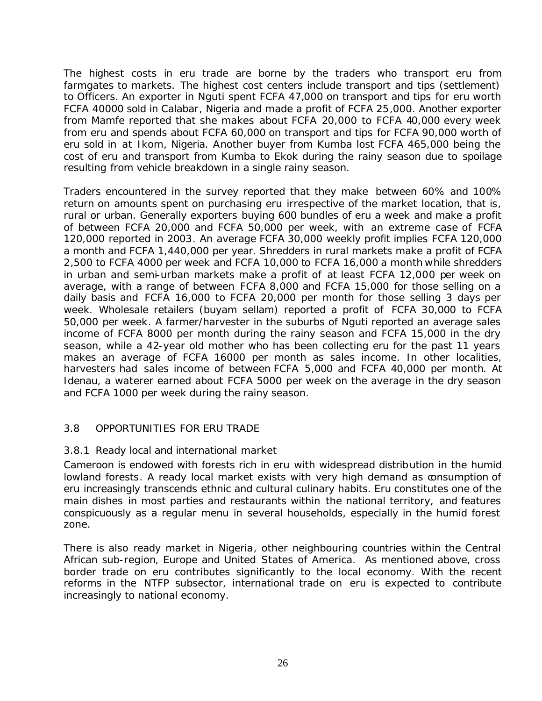The highest costs in eru trade are borne by the traders who transport eru from farmgates to markets. The highest cost centers include transport and tips (settlement) to Officers. An exporter in Nguti spent FCFA 47,000 on transport and tips for eru worth FCFA 40000 sold in Calabar, Nigeria and made a profit of FCFA 25,000. Another exporter from Mamfe reported that she makes about FCFA 20,000 to FCFA 40,000 every week from eru and spends about FCFA 60,000 on transport and tips for FCFA 90,000 worth of eru sold in at Ikom, Nigeria. Another buyer from Kumba lost FCFA 465,000 being the cost of eru and transport from Kumba to Ekok during the rainy season due to spoilage resulting from vehicle breakdown in a single rainy season.

Traders encountered in the survey reported that they make between 60% and 100% return on amounts spent on purchasing eru irrespective of the market location, that is, rural or urban. Generally exporters buying 600 bundles of eru a week and make a profit of between FCFA 20,000 and FCFA 50,000 per week, with an extreme case of FCFA 120,000 reported in 2003. An average FCFA 30,000 weekly profit implies FCFA 120,000 a month and FCFA 1,440,000 per year. Shredders in rural markets make a profit of FCFA 2,500 to FCFA 4000 per week and FCFA 10,000 to FCFA 16,000 a month while shredders in urban and semi-urban markets make a profit of at least FCFA 12,000 per week on average, with a range of between FCFA 8,000 and FCFA 15,000 for those selling on a daily basis and FCFA 16,000 to FCFA 20,000 per month for those selling 3 days per week. Wholesale retailers (buyam sellam) reported a profit of FCFA 30,000 to FCFA 50,000 per week. A farmer/harvester in the suburbs of Nguti reported an average sales income of FCFA 8000 per month during the rainy season and FCFA 15,000 in the dry season, while a 42-year old mother who has been collecting eru for the past 11 years makes an average of FCFA 16000 per month as sales income. In other localities, harvesters had sales income of between FCFA 5,000 and FCFA 40,000 per month. At Idenau, a waterer earned about FCFA 5000 per week on the average in the dry season and FCFA 1000 per week during the rainy season.

## 3.8 OPPORTUNITIES FOR ERU TRADE

#### 3.8.1 Ready local and international market

Cameroon is endowed with forests rich in eru with widespread distribution in the humid lowland forests. A ready local market exists with very high demand as consumption of eru increasingly transcends ethnic and cultural culinary habits. Eru constitutes one of the main dishes in most parties and restaurants within the national territory, and features conspicuously as a regular menu in several households, especially in the humid forest zone.

There is also ready market in Nigeria, other neighbouring countries within the Central African sub-region, Europe and United States of America. As mentioned above, cross border trade on eru contributes significantly to the local economy. With the recent reforms in the NTFP subsector, international trade on eru is expected to contribute increasingly to national economy.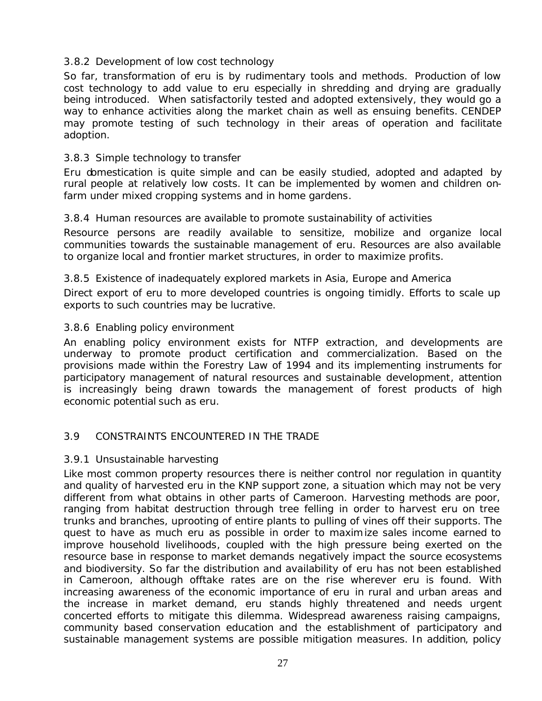## 3.8.2 Development of low cost technology

So far, transformation of eru is by rudimentary tools and methods. Production of low cost technology to add value to eru especially in shredding and drying are gradually being introduced. When satisfactorily tested and adopted extensively, they would go a way to enhance activities along the market chain as well as ensuing benefits. CENDEP may promote testing of such technology in their areas of operation and facilitate adoption.

## 3.8.3 Simple technology to transfer

Eru domestication is quite simple and can be easily studied, adopted and adapted by rural people at relatively low costs. It can be implemented by women and children onfarm under mixed cropping systems and in home gardens.

## 3.8.4 Human resources are available to promote sustainability of activities

Resource persons are readily available to sensitize, mobilize and organize local communities towards the sustainable management of eru. Resources are also available to organize local and frontier market structures, in order to maximize profits.

#### 3.8.5 Existence of inadequately explored markets in Asia, Europe and America

Direct export of eru to more developed countries is ongoing timidly. Efforts to scale up exports to such countries may be lucrative.

#### 3.8.6 Enabling policy environment

An enabling policy environment exists for NTFP extraction, and developments are underway to promote product certification and commercialization. Based on the provisions made within the Forestry Law of 1994 and its implementing instruments for participatory management of natural resources and sustainable development, attention is increasingly being drawn towards the management of forest products of high economic potential such as eru.

## 3.9 CONSTRAINTS ENCOUNTERED IN THE TRADE

#### 3.9.1 Unsustainable harvesting

Like most common property resources there is neither control nor regulation in quantity and quality of harvested eru in the KNP support zone, a situation which may not be very different from what obtains in other parts of Cameroon. Harvesting methods are poor, ranging from habitat destruction through tree felling in order to harvest eru on tree trunks and branches, uprooting of entire plants to pulling of vines off their supports. The quest to have as much eru as possible in order to maximize sales income earned to improve household livelihoods, coupled with the high pressure being exerted on the resource base in response to market demands negatively impact the source ecosystems and biodiversity. So far the distribution and availability of eru has not been established in Cameroon, although offtake rates are on the rise wherever eru is found. With increasing awareness of the economic importance of eru in rural and urban areas and the increase in market demand, eru stands highly threatened and needs urgent concerted efforts to mitigate this dilemma. Widespread awareness raising campaigns, community based conservation education and the establishment of participatory and sustainable management systems are possible mitigation measures. In addition, policy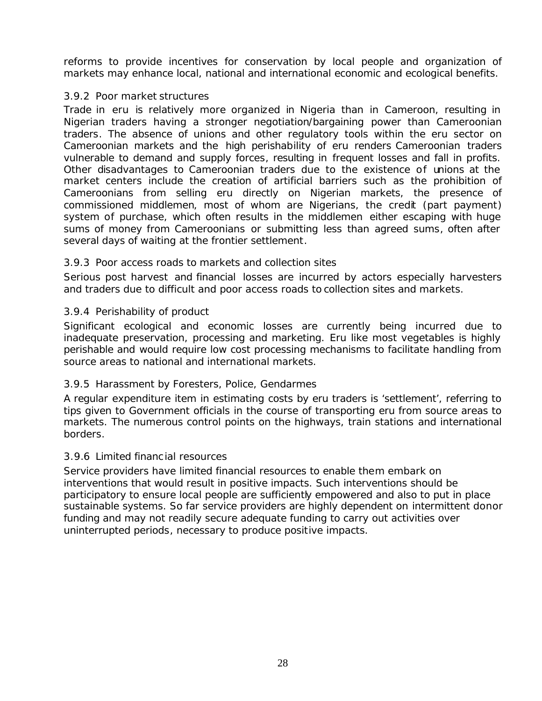reforms to provide incentives for conservation by local people and organization of markets may enhance local, national and international economic and ecological benefits.

#### 3.9.2 Poor market structures

Trade in eru is relatively more organized in Nigeria than in Cameroon, resulting in Nigerian traders having a stronger negotiation/bargaining power than Cameroonian traders. The absence of unions and other regulatory tools within the eru sector on Cameroonian markets and the high perishability of eru renders Cameroonian traders vulnerable to demand and supply forces, resulting in frequent losses and fall in profits. Other disadvantages to Cameroonian traders due to the existence of unions at the market centers include the creation of artificial barriers such as the prohibition of Cameroonians from selling eru directly on Nigerian markets, the presence of commissioned middlemen, most of whom are Nigerians, the credit (part payment) system of purchase, which often results in the middlemen either escaping with huge sums of money from Cameroonians or submitting less than agreed sums, often after several days of waiting at the frontier settlement.

#### 3.9.3 Poor access roads to markets and collection sites

Serious post harvest and financial losses are incurred by actors especially harvesters and traders due to difficult and poor access roads to collection sites and markets.

#### 3.9.4 Perishability of product

Significant ecological and economic losses are currently being incurred due to inadequate preservation, processing and marketing. Eru like most vegetables is highly perishable and would require low cost processing mechanisms to facilitate handling from source areas to national and international markets.

## 3.9.5 Harassment by Foresters, Police, Gendarmes

A regular expenditure item in estimating costs by eru traders is 'settlement', referring to tips given to Government officials in the course of transporting eru from source areas to markets. The numerous control points on the highways, train stations and international borders.

#### 3.9.6 Limited financial resources

Service providers have limited financial resources to enable them embark on interventions that would result in positive impacts. Such interventions should be participatory to ensure local people are sufficiently empowered and also to put in place sustainable systems. So far service providers are highly dependent on intermittent donor funding and may not readily secure adequate funding to carry out activities over uninterrupted periods, necessary to produce positive impacts.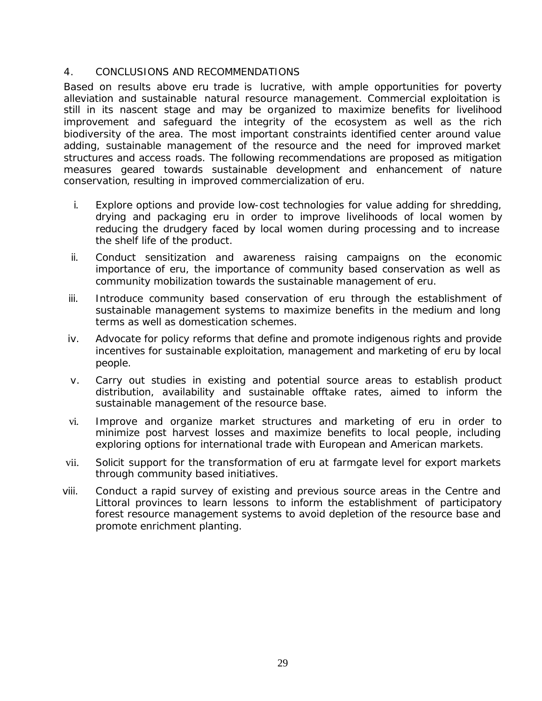#### 4. CONCLUSIONS AND RECOMMENDATIONS

Based on results above eru trade is lucrative, with ample opportunities for poverty alleviation and sustainable natural resource management. Commercial exploitation is still in its nascent stage and may be organized to maximize benefits for livelihood improvement and safeguard the integrity of the ecosystem as well as the rich biodiversity of the area. The most important constraints identified center around value adding, sustainable management of the resource and the need for improved market structures and access roads. The following recommendations are proposed as mitigation measures geared towards sustainable development and enhancement of nature conservation, resulting in improved commercialization of eru.

- i. Explore options and provide low-cost technologies for value adding for shredding, drying and packaging eru in order to improve livelihoods of local women by reducing the drudgery faced by local women during processing and to increase the shelf life of the product.
- ii. Conduct sensitization and awareness raising campaigns on the economic importance of eru, the importance of community based conservation as well as community mobilization towards the sustainable management of eru.
- iii. Introduce community based conservation of eru through the establishment of sustainable management systems to maximize benefits in the medium and long terms as well as domestication schemes.
- iv. Advocate for policy reforms that define and promote indigenous rights and provide incentives for sustainable exploitation, management and marketing of eru by local people.
- v. Carry out studies in existing and potential source areas to establish product distribution, availability and sustainable offtake rates, aimed to inform the sustainable management of the resource base.
- vi. Improve and organize market structures and marketing of eru in order to minimize post harvest losses and maximize benefits to local people, including exploring options for international trade with European and American markets.
- vii. Solicit support for the transformation of eru at farmgate level for export markets through community based initiatives.
- viii. Conduct a rapid survey of existing and previous source areas in the Centre and Littoral provinces to learn lessons to inform the establishment of participatory forest resource management systems to avoid depletion of the resource base and promote enrichment planting.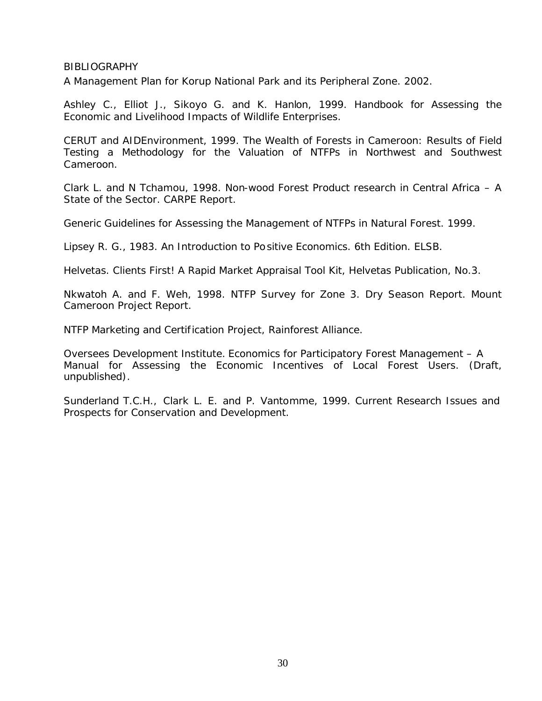#### **BIBLIOGRAPHY**

A Management Plan for Korup National Park and its Peripheral Zone. 2002.

Ashley C., Elliot J., Sikoyo G. and K. Hanlon, 1999. Handbook for Assessing the Economic and Livelihood Impacts of Wildlife Enterprises.

CERUT and AIDEnvironment, 1999. The Wealth of Forests in Cameroon: Results of Field Testing a Methodology for the Valuation of NTFPs in Northwest and Southwest Cameroon.

Clark L. and N Tchamou, 1998. Non-wood Forest Product research in Central Africa – A State of the Sector. CARPE Report.

Generic Guidelines for Assessing the Management of NTFPs in Natural Forest. 1999.

Lipsey R. G., 1983. An Introduction to Positive Economics. 6th Edition. ELSB.

Helvetas. Clients First! A Rapid Market Appraisal Tool Kit, Helvetas Publication, No.3.

Nkwatoh A. and F. Weh, 1998. NTFP Survey for Zone 3. Dry Season Report. Mount Cameroon Project Report.

NTFP Marketing and Certification Project, Rainforest Alliance.

Oversees Development Institute. Economics for Participatory Forest Management – A Manual for Assessing the Economic Incentives of Local Forest Users. (Draft, unpublished).

Sunderland T.C.H., Clark L. E. and P. Vantomme, 1999. Current Research Issues and Prospects for Conservation and Development.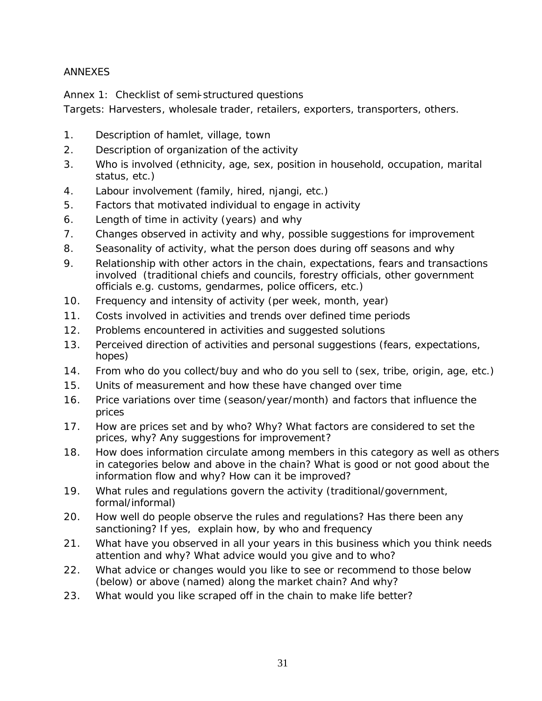## ANNEXES

Annex 1: Checklist of semi-structured questions

Targets: Harvesters, wholesale trader, retailers, exporters, transporters, others.

- 1. Description of hamlet, village, town
- 2. Description of organization of the activity
- 3. Who is involved (ethnicity, age, sex, position in household, occupation, marital status, etc.)
- 4. Labour involvement (family, hired, njangi, etc.)
- 5. Factors that motivated individual to engage in activity
- 6. Length of time in activity (years) and why
- 7. Changes observed in activity and why, possible suggestions for improvement
- 8. Seasonality of activity, what the person does during off seasons and why
- 9. Relationship with other actors in the chain, expectations, fears and transactions involved (traditional chiefs and councils, forestry officials, other government officials e.g. customs, gendarmes, police officers, etc.)
- 10. Frequency and intensity of activity (per week, month, year)
- 11. Costs involved in activities and trends over defined time periods
- 12. Problems encountered in activities and suggested solutions
- 13. Perceived direction of activities and personal suggestions (fears, expectations, hopes)
- 14. From who do you collect/buy and who do you sell to (sex, tribe, origin, age, etc.)
- 15. Units of measurement and how these have changed over time
- 16. Price variations over time (season/year/month) and factors that influence the prices
- 17. How are prices set and by who? Why? What factors are considered to set the prices, why? Any suggestions for improvement?
- 18. How does information circulate among members in this category as well as others in categories below and above in the chain? What is good or not good about the information flow and why? How can it be improved?
- 19. What rules and regulations govern the activity (traditional/government, formal/informal)
- 20. How well do people observe the rules and regulations? Has there been any sanctioning? If yes, explain how, by who and frequency
- 21. What have you observed in all your years in this business which you think needs attention and why? What advice would you give and to who?
- 22. What advice or changes would you like to see or recommend to those below (below) or above (named) along the market chain? And why?
- 23. What would you like scraped off in the chain to make life better?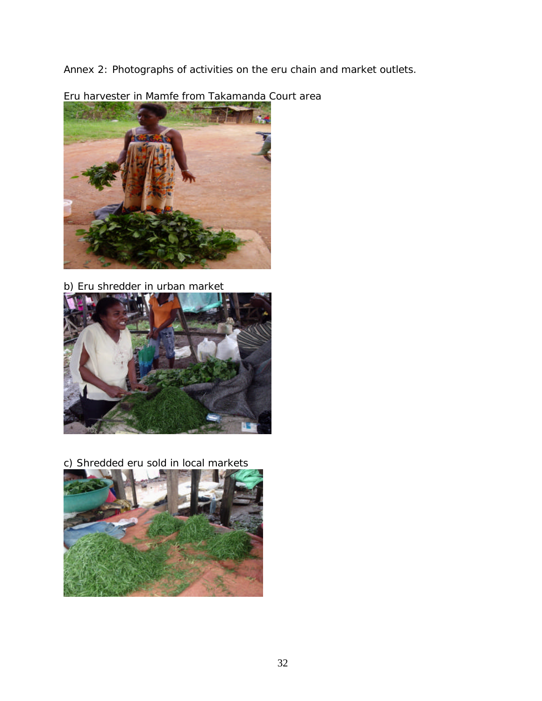Annex 2: Photographs of activities on the eru chain and market outlets.



Eru harvester in Mamfe from Takamanda Court area

b) Eru shredder in urban market



c) Shredded eru sold in local markets